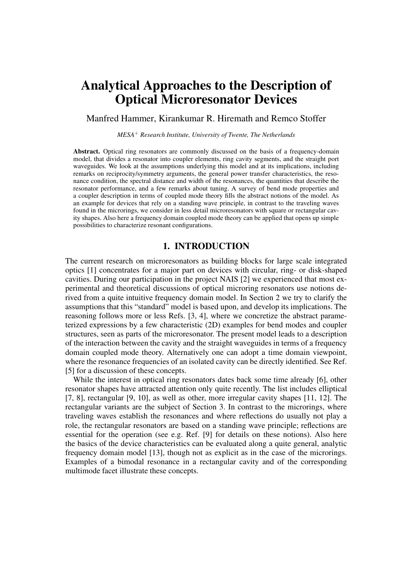# **Analytical Approaches to the Description of Optical Microresonator Devices**

Manfred Hammer, Kirankumar R. Hiremath and Remco Stoffer

*MESA*<sup>+</sup> *Research Institute, University of Twente, The Netherlands*

Abstract. Optical ring resonators are commonly discussed on the basis of a frequency-domain model, that divides a resonator into coupler elements, ring cavity segments, and the straight port waveguides. We look at the assumptions underlying this model and at its implications, including remarks on reciprocity/symmetry arguments, the general power transfer characteristics, the resonance condition, the spectral distance and width of the resonances, the quantities that describe the resonator performance, and a few remarks about tuning. A survey of bend mode properties and a coupler description in terms of coupled mode theory fills the abstract notions of the model. As an example for devices that rely on a standing wave principle, in contrast to the traveling waves found in the microrings, we consider in less detail microresonators with square or rectangular cavity shapes. Also here a frequency domain coupled mode theory can be applied that opens up simple possibilities to characterize resonant configurations.

# **1. INTRODUCTION**

The current research on microresonators as building blocks for large scale integrated optics [1] concentrates for a major part on devices with circular, ring- or disk-shaped cavities. During our participation in the project NAIS [2] we experienced that most experimental and theoretical discussions of optical microring resonators use notions derived from a quite intuitive frequency domain model. In Section 2 we try to clarify the assumptions that this "standard" model is based upon, and develop its implications. The reasoning follows more or less Refs. [3, 4], where we concretize the abstract parameterized expressions by a few characteristic (2D) examples for bend modes and coupler structures, seen as parts of the microresonator. The present model leads to a description of the interaction between the cavity and the straight waveguides in terms of a frequency domain coupled mode theory. Alternatively one can adopt a time domain viewpoint, where the resonance frequencies of an isolated cavity can be directly identified. See Ref. [5] for a discussion of these concepts.

While the interest in optical ring resonators dates back some time already [6], other resonator shapes have attracted attention only quite recently. The list includes elliptical [7, 8], rectangular [9, 10], as well as other, more irregular cavity shapes [11, 12]. The rectangular variants are the subject of Section 3. In contrast to the microrings, where traveling waves establish the resonances and where reflections do usually not play a role, the rectangular resonators are based on a standing wave principle; reflections are essential for the operation (see e.g. Ref. [9] for details on these notions). Also here the basics of the device characteristics can be evaluated along a quite general, analytic frequency domain model [13], though not as explicit as in the case of the microrings. Examples of a bimodal resonance in a rectangular cavity and of the corresponding multimode facet illustrate these concepts.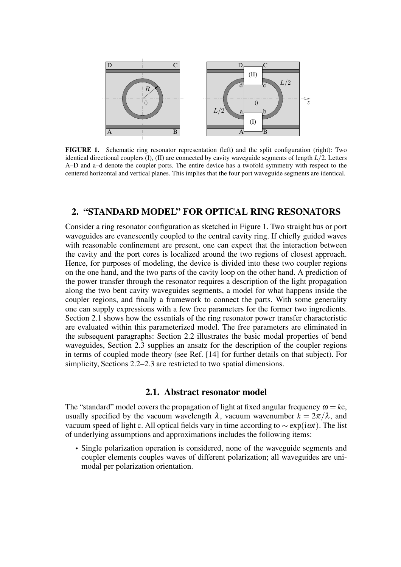

**FIGURE 1.** Schematic ring resonator representation (left) and the split configuration (right): Two identical directional couplers (I), (II) are connected by cavity waveguide segments of length *L*/2. Letters A–D and a–d denote the coupler ports. The entire device has a twofold symmetry with respect to the centered horizontal and vertical planes. This implies that the four port waveguide segments are identical.

# **2. "STANDARD MODEL" FOR OPTICAL RING RESONATORS**

Consider a ring resonator configuration as sketched in Figure 1. Two straight bus or port waveguides are evanescently coupled to the central cavity ring. If chiefly guided waves with reasonable confinement are present, one can expect that the interaction between the cavity and the port cores is localized around the two regions of closest approach. Hence, for purposes of modeling, the device is divided into these two coupler regions on the one hand, and the two parts of the cavity loop on the other hand. A prediction of the power transfer through the resonator requires a description of the light propagation along the two bent cavity waveguides segments, a model for what happens inside the coupler regions, and finally a framework to connect the parts. With some generality one can supply expressions with a few free parameters for the former two ingredients. Section 2.1 shows how the essentials of the ring resonator power transfer characteristic are evaluated within this parameterized model. The free parameters are eliminated in the subsequent paragraphs: Section 2.2 illustrates the basic modal properties of bend waveguides, Section 2.3 supplies an ansatz for the description of the coupler regions in terms of coupled mode theory (see Ref. [14] for further details on that subject). For simplicity, Sections 2.2–2.3 are restricted to two spatial dimensions.

#### **2.1. Abstract resonator model**

The "standard" model covers the propagation of light at fixed angular frequency  $\omega = kc$ , usually specified by the vacuum wavelength  $\lambda$ , vacuum wavenumber  $k = 2\pi/\lambda$ , and vacuum speed of light c. All optical fields vary in time according to ∼ exp(iω*t*). The list of underlying assumptions and approximations includes the following items:

• Single polarization operation is considered, none of the waveguide segments and coupler elements couples waves of different polarization; all waveguides are unimodal per polarization orientation.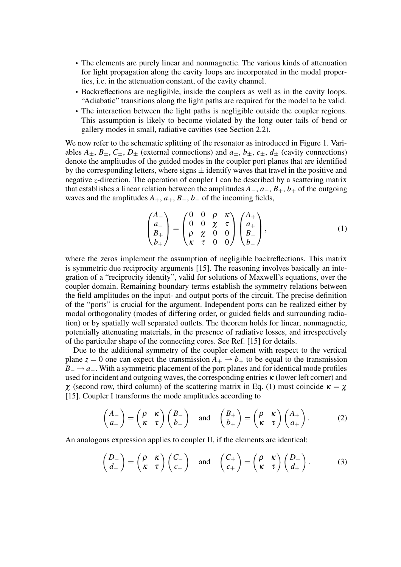- The elements are purely linear and nonmagnetic. The various kinds of attenuation for light propagation along the cavity loops are incorporated in the modal properties, i.e. in the attenuation constant, of the cavity channel.
- Backreflections are negligible, inside the couplers as well as in the cavity loops. "Adiabatic" transitions along the light paths are required for the model to be valid.
- The interaction between the light paths is negligible outside the coupler regions. This assumption is likely to become violated by the long outer tails of bend or gallery modes in small, radiative cavities (see Section 2.2).

We now refer to the schematic splitting of the resonator as introduced in Figure 1. Variables  $A_{\pm}$ ,  $B_{\pm}$ ,  $C_{\pm}$ ,  $D_{\pm}$  (external connections) and  $a_{\pm}$ ,  $b_{\pm}$ ,  $c_{\pm}$ ,  $d_{\pm}$  (cavity connections) denote the amplitudes of the guided modes in the coupler port planes that are identified by the corresponding letters, where signs  $\pm$  identify waves that travel in the positive and negative *z*-direction. The operation of coupler I can be described by a scattering matrix that establishes a linear relation between the amplitudes  $A_-, a_-, B_+, b_+$  of the outgoing waves and the amplitudes  $A_+, a_+, B_-, b_-$  of the incoming fields,

$$
\begin{pmatrix} A_{-} \\ a_{-} \\ B_{+} \\ b_{+} \end{pmatrix} = \begin{pmatrix} 0 & 0 & \rho & \kappa \\ 0 & 0 & \chi & \tau \\ \rho & \chi & 0 & 0 \\ \kappa & \tau & 0 & 0 \end{pmatrix} \begin{pmatrix} A_{+} \\ a_{+} \\ B_{-} \\ b_{-} \end{pmatrix},
$$
(1)

where the zeros implement the assumption of negligible backreflections. This matrix is symmetric due reciprocity arguments [15]. The reasoning involves basically an integration of a "reciprocity identity", valid for solutions of Maxwell's equations, over the coupler domain. Remaining boundary terms establish the symmetry relations between the field amplitudes on the input- and output ports of the circuit. The precise definition of the "ports" is crucial for the argument. Independent ports can be realized either by modal orthogonality (modes of differing order, or guided fields and surrounding radiation) or by spatially well separated outlets. The theorem holds for linear, nonmagnetic, potentially attenuating materials, in the presence of radiative losses, and irrespectively of the particular shape of the connecting cores. See Ref. [15] for details.

Due to the additional symmetry of the coupler element with respect to the vertical plane  $z = 0$  one can expect the transmission  $A_+ \rightarrow b_+$  to be equal to the transmission *B*<sub>−</sub> → *a*<sub>−</sub>. With a symmetric placement of the port planes and for identical mode profiles used for incident and outgoing waves, the corresponding entries  $\kappa$  (lower left corner) and  $χ$  (second row, third column) of the scattering matrix in Eq. (1) must coincide  $κ = χ$ [15]. Coupler I transforms the mode amplitudes according to

$$
\begin{pmatrix} A_{-} \\ a_{-} \end{pmatrix} = \begin{pmatrix} \rho & \kappa \\ \kappa & \tau \end{pmatrix} \begin{pmatrix} B_{-} \\ b_{-} \end{pmatrix} \text{ and } \begin{pmatrix} B_{+} \\ b_{+} \end{pmatrix} = \begin{pmatrix} \rho & \kappa \\ \kappa & \tau \end{pmatrix} \begin{pmatrix} A_{+} \\ a_{+} \end{pmatrix}.
$$
 (2)

An analogous expression applies to coupler II, if the elements are identical:

$$
\begin{pmatrix} D_- \\ d_- \end{pmatrix} = \begin{pmatrix} \rho & \kappa \\ \kappa & \tau \end{pmatrix} \begin{pmatrix} C_- \\ c_- \end{pmatrix} \text{ and } \begin{pmatrix} C_+ \\ c_+ \end{pmatrix} = \begin{pmatrix} \rho & \kappa \\ \kappa & \tau \end{pmatrix} \begin{pmatrix} D_+ \\ d_+ \end{pmatrix}.
$$
 (3)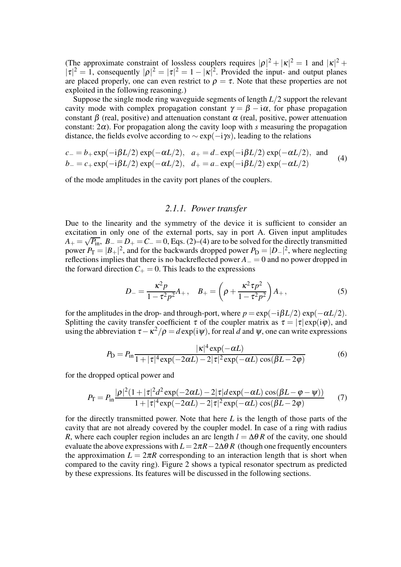(The approximate constraint of lossless couplers requires  $|\rho|^2 + |\kappa|^2 = 1$  and  $|\kappa|^2 + |\kappa|^2 = 1$  $|\tau|^2 = 1$ , consequently  $|\rho|^2 = |\tau|^2 = 1 - |\kappa|^2$ . Provided the input- and output planes are placed properly, one can even restrict to  $\rho = \tau$ . Note that these properties are not exploited in the following reasoning.)

Suppose the single mode ring waveguide segments of length *L*/2 support the relevant cavity mode with complex propagation constant  $\gamma = \beta - i\alpha$ , for phase propagation constant  $\beta$  (real, positive) and attenuation constant  $\alpha$  (real, positive, power attenuation constant:  $2\alpha$ ). For propagation along the cavity loop with *s* measuring the propagation distance, the fields evolve according to  $\sim$  exp( $-i\gamma s$ ), leading to the relations

$$
c_{-} = b_{+} \exp(-i\beta L/2) \exp(-\alpha L/2), \quad a_{+} = d_{-} \exp(-i\beta L/2) \exp(-\alpha L/2), \text{ and}
$$
  
\n
$$
b_{-} = c_{+} \exp(-i\beta L/2) \exp(-\alpha L/2), \quad d_{+} = a_{-} \exp(-i\beta L/2) \exp(-\alpha L/2)
$$
 (4)

of the mode amplitudes in the cavity port planes of the couplers.

### *2.1.1. Power transfer*

Due to the linearity and the symmetry of the device it is sufficient to consider an excitation in only one of the external ports, say in port A. Given input amplitudes  $A_+ = \sqrt{P_{\text{in}}}, B_- = D_+ = C_- = 0$ , Eqs. (2)–(4) are to be solved for the directly transmitted power  $P_T = |B_+|^2$ , and for the backwards dropped power  $P_D = |D_-|^2$ , where neglecting reflections implies that there is no backreflected power *A*<sup>−</sup> = 0 and no power dropped in the forward direction  $C_+ = 0$ . This leads to the expressions

$$
D_{-} = \frac{\kappa^2 p}{1 - \tau^2 p^2} A_{+}, \quad B_{+} = \left(\rho + \frac{\kappa^2 \tau p^2}{1 - \tau^2 p^2}\right) A_{+},\tag{5}
$$

for the amplitudes in the drop- and through-port, where  $p = \exp(-i\beta L/2) \exp(-\alpha L/2)$ . Splitting the cavity transfer coefficient  $\tau$  of the coupler matrix as  $\tau = |\tau| \exp(i\varphi)$ , and using the abbreviation  $\tau - \kappa^2/\rho = d \exp(i \psi)$ , for real *d* and  $\psi$ , one can write expressions

$$
P_{\rm D} = P_{\rm in} \frac{|\kappa|^4 \exp(-\alpha L)}{1 + |\tau|^4 \exp(-2\alpha L) - 2|\tau|^2 \exp(-\alpha L) \cos(\beta L - 2\varphi)}
$$
(6)

for the dropped optical power and

$$
P_{\rm T} = P_{\rm in} \frac{|\rho|^2 (1+|\tau|^2 d^2 \exp(-2\alpha L) - 2|\tau| d \exp(-\alpha L) \cos(\beta L - \varphi - \psi))}{1+|\tau|^4 \exp(-2\alpha L) - 2|\tau|^2 \exp(-\alpha L) \cos(\beta L - 2\varphi)} \tag{7}
$$

for the directly transmitted power. Note that here *L* is the length of those parts of the cavity that are not already covered by the coupler model. In case of a ring with radius *R*, where each coupler region includes an arc length  $l = \Delta \theta R$  of the cavity, one should evaluate the above expressions with  $L = 2\pi R - 2\Delta\theta R$  (though one frequently encounters the approximation  $L = 2\pi R$  corresponding to an interaction length that is short when compared to the cavity ring). Figure 2 shows a typical resonator spectrum as predicted by these expressions. Its features will be discussed in the following sections.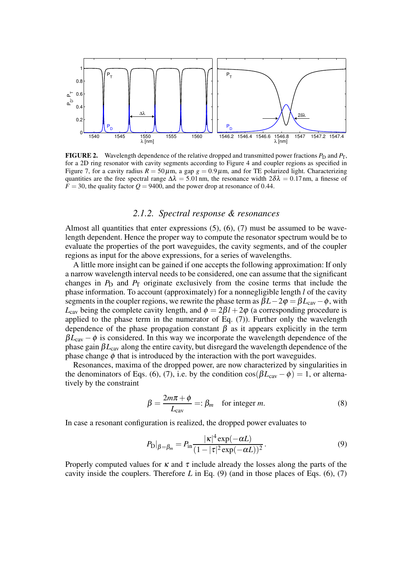

**FIGURE 2.** Wavelength dependence of the relative dropped and transmitted power fractions  $P_D$  and  $P_T$ , for a 2D ring resonator with cavity segments according to Figure 4 and coupler regions as specified in Figure 7, for a cavity radius  $R = 50 \,\mu$ m, a gap  $g = 0.9 \,\mu$ m, and for TE polarized light. Characterizing quantities are the free spectral range  $\Delta \lambda = 5.01$  nm, the resonance width  $2\delta \lambda = 0.17$  nm, a finesse of  $F = 30$ , the quality factor  $Q = 9400$ , and the power drop at resonance of 0.44.

#### *2.1.2. Spectral response & resonances*

Almost all quantities that enter expressions  $(5)$ ,  $(6)$ ,  $(7)$  must be assumed to be wavelength dependent. Hence the proper way to compute the resonator spectrum would be to evaluate the properties of the port waveguides, the cavity segments, and of the coupler regions as input for the above expressions, for a series of wavelengths.

A little more insight can be gained if one accepts the following approximation: If only a narrow wavelength interval needs to be considered, one can assume that the significant changes in  $P_D$  and  $P_T$  originate exclusively from the cosine terms that include the phase information. To account (approximately) for a nonnegligible length *l* of the cavity segments in the coupler regions, we rewrite the phase term as  $\beta L - 2\varphi = \beta L_{\text{cav}} - \varphi$ , with  $L_{\text{cav}}$  being the complete cavity length, and  $\phi = 2\beta l + 2\varphi$  (a corresponding procedure is applied to the phase term in the numerator of Eq. (7)). Further only the wavelength dependence of the phase propagation constant  $\beta$  as it appears explicitly in the term  $\beta L_{\text{cav}} - \phi$  is considered. In this way we incorporate the wavelength dependence of the phase gain  $\beta L_{\text{cav}}$  along the entire cavity, but disregard the wavelength dependence of the phase change  $\phi$  that is introduced by the interaction with the port waveguides.

Resonances, maxima of the dropped power, are now characterized by singularities in the denominators of Eqs. (6), (7), i.e. by the condition  $\cos(\beta L_{\text{cav}} - \phi) = 1$ , or alternatively by the constraint

$$
\beta = \frac{2m\pi + \phi}{L_{\text{cav}}} =: \beta_m \quad \text{for integer } m. \tag{8}
$$

In case a resonant configuration is realized, the dropped power evaluates to

$$
P_{\mathcal{D}}|_{\beta=\beta_m} = P_{\text{in}} \frac{|\kappa|^4 \exp(-\alpha L)}{(1 - |\tau|^2 \exp(-\alpha L))^2}.
$$
\n(9)

Properly computed values for  $\kappa$  and  $\tau$  include already the losses along the parts of the cavity inside the couplers. Therefore *L* in Eq. (9) (and in those places of Eqs. (6), (7)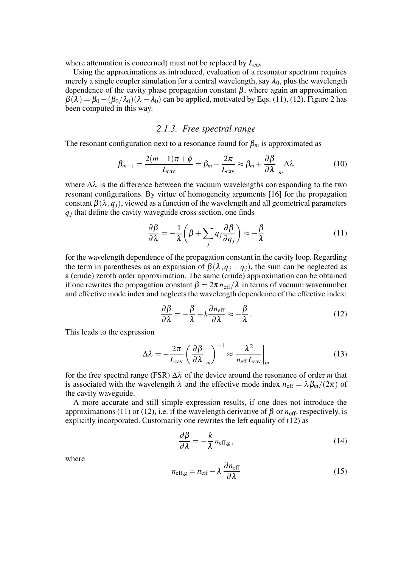where attenuation is concerned) must not be replaced by  $L_{\text{cav}}$ .

Using the approximations as introduced, evaluation of a resonator spectrum requires merely a single coupler simulation for a central wavelength, say  $\lambda_0$ , plus the wavelength dependence of the cavity phase propagation constant  $\beta$ , where again an approximation  $\beta(\lambda) = \beta_0 - (\beta_0/\lambda_0)(\lambda - \lambda_0)$  can be applied, motivated by Eqs. (11), (12). Figure 2 has been computed in this way.

## *2.1.3. Free spectral range*

The resonant configuration next to a resonance found for  $\beta_m$  is approximated as

$$
\beta_{m-1} = \frac{2(m-1)\pi + \phi}{L_{\text{cav}}} = \beta_m - \frac{2\pi}{L_{\text{cav}}} \approx \beta_m + \frac{\partial \beta}{\partial \lambda} \bigg|_m \Delta \lambda \tag{10}
$$

where  $\Delta\lambda$  is the difference between the vacuum wavelengths corresponding to the two resonant configurations. By virtue of homogeneity arguments [16] for the propagation constant  $\beta(\lambda, q_i)$ , viewed as a function of the wavelength and all geometrical parameters *qj* that define the cavity waveguide cross section, one finds

$$
\frac{\partial \beta}{\partial \lambda} = -\frac{1}{\lambda} \left( \beta + \sum_{j} q_j \frac{\partial \beta}{\partial q_j} \right) \approx -\frac{\beta}{\lambda}
$$
 (11)

for the wavelength dependence of the propagation constant in the cavity loop. Regarding the term in parentheses as an expansion of  $\beta(\lambda, q_i + q_i)$ , the sum can be neglected as a (crude) zeroth order approximation. The same (crude) approximation can be obtained if one rewrites the propagation constant  $\beta = 2\pi n_{\text{eff}}/\lambda$  in terms of vacuum wavenumber and effective mode index and neglects the wavelength dependence of the effective index:

$$
\frac{\partial \beta}{\partial \lambda} = -\frac{\beta}{\lambda} + k \frac{\partial n_{\text{eff}}}{\partial \lambda} \approx -\frac{\beta}{\lambda}.
$$
 (12)

This leads to the expression

$$
\Delta \lambda = -\frac{2\pi}{L_{\text{cav}}} \left( \frac{\partial \beta}{\partial \lambda} \bigg|_{m} \right)^{-1} \approx \frac{\lambda^2}{n_{\text{eff}} L_{\text{cav}}} \bigg|_{m} \tag{13}
$$

for the free spectral range (FSR) ∆λ of the device around the resonance of order *m* that is associated with the wavelength  $\lambda$  and the effective mode index  $n_{\text{eff}} = \lambda \beta_m / (2\pi)$  of the cavity waveguide.

A more accurate and still simple expression results, if one does not introduce the approximations (11) or (12), i.e. if the wavelength derivative of  $\beta$  or  $n_{\text{eff}}$ , respectively, is explicitly incorporated. Customarily one rewrites the left equality of (12) as

$$
\frac{\partial \beta}{\partial \lambda} = -\frac{k}{\lambda} n_{\text{eff,g}},\tag{14}
$$

where

$$
n_{\text{eff,g}} = n_{\text{eff}} - \lambda \frac{\partial n_{\text{eff}}}{\partial \lambda} \tag{15}
$$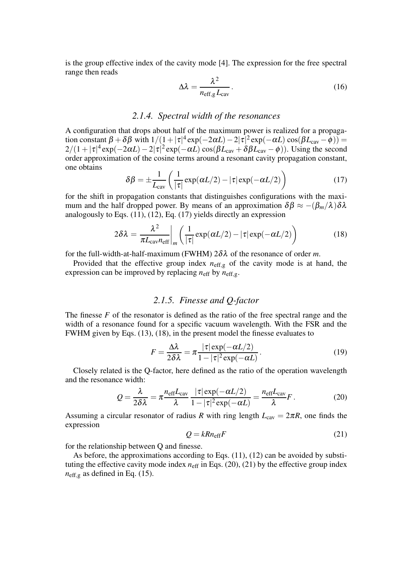is the group effective index of the cavity mode [4]. The expression for the free spectral range then reads

$$
\Delta \lambda = \frac{\lambda^2}{n_{\text{eff,g}} L_{\text{cav}}}.
$$
\n(16)

# *2.1.4. Spectral width of the resonances*

A configuration that drops about half of the maximum power is realized for a propagation constant  $\beta + \delta \beta$  with  $1/(1+|\tau|^4 \exp(-2\alpha L) - 2|\tau|^2 \exp(-\alpha L) \cos(\beta L_{\text{cav}} - \phi)) =$  $2/(1+|\tau|^4 \exp(-2\alpha L)-2|\tau|^2 \exp(-\alpha L) \cos(\beta L_{\text{cav}}+\delta \beta L_{\text{cav}}-\phi))$ . Using the second order approximation of the cosine terms around a resonant cavity propagation constant, one obtains

$$
\delta\beta = \pm \frac{1}{L_{\text{cav}}} \left( \frac{1}{|\tau|} \exp(\alpha L/2) - |\tau| \exp(-\alpha L/2) \right) \tag{17}
$$

for the shift in propagation constants that distinguishes configurations with the maximum and the half dropped power. By means of an approximation  $\delta \beta \approx -(\beta_m/\lambda) \delta \lambda$ analogously to Eqs. (11), (12), Eq. (17) yields directly an expression

$$
2\delta\lambda = \frac{\lambda^2}{\pi L_{\text{cav}} n_{\text{eff}}} \bigg|_m \bigg( \frac{1}{|\tau|} \exp(\alpha L/2) - |\tau| \exp(-\alpha L/2) \bigg) \tag{18}
$$

for the full-width-at-half-maximum (FWHM) 2δλ of the resonance of order *m*.

Provided that the effective group index  $n_{\text{eff},g}$  of the cavity mode is at hand, the expression can be improved by replacing  $n_{\text{eff}}$  by  $n_{\text{eff},g}$ .

## *2.1.5. Finesse and Q-factor*

The finesse *F* of the resonator is defined as the ratio of the free spectral range and the width of a resonance found for a specific vacuum wavelength. With the FSR and the FWHM given by Eqs. (13), (18), in the present model the finesse evaluates to

$$
F = \frac{\Delta\lambda}{2\delta\lambda} = \pi \frac{|\tau| \exp(-\alpha L/2)}{1 - |\tau|^2 \exp(-\alpha L)}.
$$
 (19)

Closely related is the Q-factor, here defined as the ratio of the operation wavelength and the resonance width:

$$
Q = \frac{\lambda}{2\delta\lambda} = \pi \frac{n_{\text{eff}}L_{\text{cav}}}{\lambda} \frac{|\tau| \exp(-\alpha L/2)}{1 - |\tau|^2 \exp(-\alpha L)} = \frac{n_{\text{eff}}L_{\text{cav}}}{\lambda} F. \tag{20}
$$

Assuming a circular resonator of radius *R* with ring length  $L_{\text{cav}} = 2\pi R$ , one finds the expression

$$
Q = k R n_{\text{eff}} F \tag{21}
$$

for the relationship between Q and finesse.

As before, the approximations according to Eqs. (11), (12) can be avoided by substituting the effective cavity mode index  $n_{\text{eff}}$  in Eqs. (20), (21) by the effective group index  $n_{\text{eff,g}}$  as defined in Eq. (15).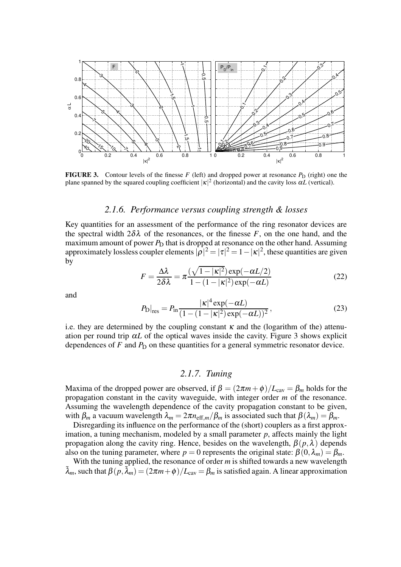

**FIGURE 3.** Contour levels of the finesse  $F$  (left) and dropped power at resonance  $P_D$  (right) one the plane spanned by the squared coupling coefficient  $|\kappa|^2$  (horizontal) and the cavity loss  $\alpha L$  (vertical).

#### *2.1.6. Performance versus coupling strength & losses*

Key quantities for an assessment of the performance of the ring resonator devices are the spectral width  $2\delta\lambda$  of the resonances, or the finesse *F*, on the one hand, and the maximum amount of power  $P_{\text{D}}$  that is dropped at resonance on the other hand. Assuming approximately lossless coupler elements  $|\rho|^2 = |\tau|^2 = 1 - |\kappa|^2$ , these quantities are given by

$$
F = \frac{\Delta\lambda}{2\delta\lambda} = \pi \frac{(\sqrt{1-|\kappa|^2})\exp(-\alpha L/2)}{1-(1-|\kappa|^2)\exp(-\alpha L)}
$$
(22)

and

$$
P_{\rm D}|_{\rm res} = P_{\rm in} \frac{|\kappa|^4 \exp(-\alpha L)}{(1 - (1 - |\kappa|^2) \exp(-\alpha L))^2},\tag{23}
$$

i.e. they are determined by the coupling constant  $\kappa$  and the (logarithm of the) attenuation per round trip  $\alpha L$  of the optical waves inside the cavity. Figure 3 shows explicit dependences of  $F$  and  $P_D$  on these quantities for a general symmetric resonator device.

#### *2.1.7. Tuning*

Maxima of the dropped power are observed, if  $\beta = (2\pi m + \phi)/L_{\text{cav}} = \beta_m$  holds for the propagation constant in the cavity waveguide, with integer order *m* of the resonance. Assuming the wavelength dependence of the cavity propagation constant to be given, with  $\beta_m$  a vacuum wavelength  $\lambda_m = 2\pi n_{\text{eff},m}/\beta_m$  is associated such that  $\beta(\lambda_m) = \beta_m$ .

Disregarding its influence on the performance of the (short) couplers as a first approximation, a tuning mechanism, modeled by a small parameter  $p$ , affects mainly the light propagation along the cavity ring. Hence, besides on the wavelength,  $\beta(p,\lambda)$  depends also on the tuning parameter, where  $p = 0$  represents the original state:  $\beta(0, \lambda_m) = \beta_m$ .

With the tuning applied, the resonance of order *m* is shifted towards a new wavelength  $\tilde{\lambda}_m$ , such that  $\beta(p, \tilde{\lambda}_m) = (2\pi m + \phi)/L_{\text{cav}} = \beta_m$  is satisfied again. A linear approximation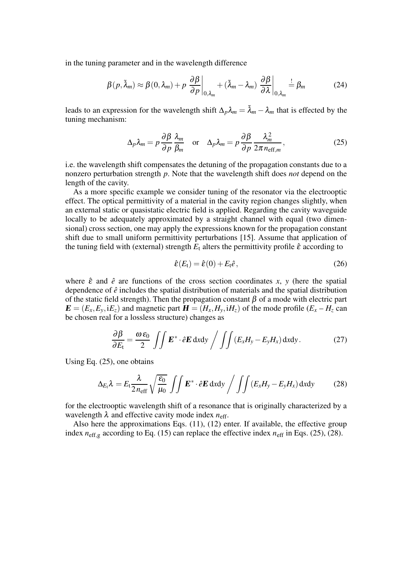in the tuning parameter and in the wavelength difference

$$
\beta(p,\tilde{\lambda}_m) \approx \beta(0,\lambda_m) + p \left. \frac{\partial \beta}{\partial p} \right|_{0,\lambda_m} + (\tilde{\lambda}_m - \lambda_m) \left. \frac{\partial \beta}{\partial \lambda} \right|_{0,\lambda_m} \stackrel{!}{=} \beta_m \tag{24}
$$

leads to an expression for the wavelength shift  $\Delta_p \lambda_m = \tilde{\lambda}_m - \lambda_m$  that is effected by the tuning mechanism:

$$
\Delta_p \lambda_m = p \frac{\partial \beta}{\partial p} \frac{\lambda_m}{\beta_m} \quad \text{or} \quad \Delta_p \lambda_m = p \frac{\partial \beta}{\partial p} \frac{\lambda_m^2}{2\pi n_{\text{eff},m}}, \tag{25}
$$

i.e. the wavelength shift compensates the detuning of the propagation constants due to a nonzero perturbation strength *p*. Note that the wavelength shift does *not* depend on the length of the cavity.

As a more specific example we consider tuning of the resonator via the electrooptic effect. The optical permittivity of a material in the cavity region changes slightly, when an external static or quasistatic electric field is applied. Regarding the cavity waveguide locally to be adequately approximated by a straight channel with equal (two dimensional) cross section, one may apply the expressions known for the propagation constant shift due to small uniform permittivity perturbations [15]. Assume that application of the tuning field with (external) strength  $E_t$  alters the permittivity profile  $\hat{\varepsilon}$  according to

$$
\hat{\boldsymbol{\varepsilon}}(E_{\mathsf{t}}) = \hat{\boldsymbol{\varepsilon}}(0) + E_{\mathsf{t}} \hat{\boldsymbol{e}},\tag{26}
$$

where  $\hat{\epsilon}$  and  $\hat{\epsilon}$  are functions of the cross section coordinates x, y (here the spatial dependence of  $\hat{e}$  includes the spatial distribution of materials and the spatial distribution of the static field strength). Then the propagation constant  $\beta$  of a mode with electric part  $\mathbf{E} = (E_x, E_y, iE_z)$  and magnetic part  $\mathbf{H} = (H_x, H_y, iH_z)$  of the mode profile  $(E_x - H_z \text{ can})$ be chosen real for a lossless structure) changes as

$$
\frac{\partial \beta}{\partial E_t} = \frac{\omega \varepsilon_0}{2} \iint \mathbf{E}^* \cdot \hat{e} \mathbf{E} \, dxdy \bigg/ \iint (E_x H_y - E_y H_x) \, dxdy. \tag{27}
$$

Using Eq. (25), one obtains

$$
\Delta_{E_t} \lambda = E_t \frac{\lambda}{2 n_{\text{eff}}} \sqrt{\frac{\epsilon_0}{\mu_0}} \int \int \mathbf{E}^* \cdot \hat{e} \mathbf{E} \, \text{d}x \text{d}y \Big/ \int \int (E_x H_y - E_y H_x) \, \text{d}x \text{d}y \tag{28}
$$

for the electrooptic wavelength shift of a resonance that is originally characterized by a wavelength  $\lambda$  and effective cavity mode index  $n_{\text{eff}}$ .

Also here the approximations Eqs. (11), (12) enter. If available, the effective group index  $n_{\text{eff},g}$  according to Eq. (15) can replace the effective index  $n_{\text{eff}}$  in Eqs. (25), (28).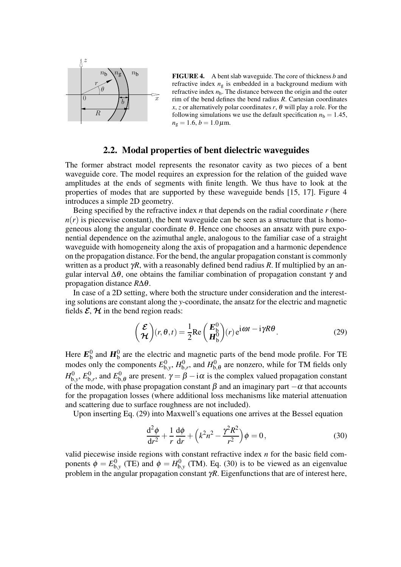

**FIGURE 4.** A bent slab waveguide. The core of thickness *b* and refractive index  $n<sub>g</sub>$  is embedded in a background medium with refractive index  $n<sub>b</sub>$ . The distance between the origin and the outer rim of the bend defines the bend radius *R*. Cartesian coordinates *x*, *z* or alternatively polar coordinates *r*,  $\theta$  will play a role. For the following simulations we use the default specification  $n<sub>b</sub> = 1.45$ ,  $n_{\rm g} = 1.6, b = 1.0 \,\mu{\rm m}.$ 

## **2.2. Modal properties of bent dielectric waveguides**

The former abstract model represents the resonator cavity as two pieces of a bent waveguide core. The model requires an expression for the relation of the guided wave amplitudes at the ends of segments with finite length. We thus have to look at the properties of modes that are supported by these waveguide bends [15, 17]. Figure 4 introduces a simple 2D geometry.

Being specified by the refractive index *n* that depends on the radial coordinate *r* (here  $n(r)$  is piecewise constant), the bent waveguide can be seen as a structure that is homogeneous along the angular coordinate  $\theta$ . Hence one chooses an ansatz with pure exponential dependence on the azimuthal angle, analogous to the familiar case of a straight waveguide with homogeneity along the axis of propagation and a harmonic dependence on the propagation distance. For the bend, the angular propagation constant is commonly written as a product γ*R*, with a reasonably defined bend radius *R*. If multiplied by an angular interval  $\Delta\theta$ , one obtains the familiar combination of propagation constant  $\gamma$  and propagation distance *R*∆θ.

In case of a 2D setting, where both the structure under consideration and the interesting solutions are constant along the *y*-coordinate, the ansatz for the electric and magnetic fields  $\mathcal{E}, \mathcal{H}$  in the bend region reads:

$$
\begin{pmatrix} \mathcal{E} \\ \mathcal{H} \end{pmatrix} (r, \theta, t) = \frac{1}{2} \text{Re} \begin{pmatrix} E_0^0 \\ H_0^0 \end{pmatrix} (r) e^{i\omega t} - i\gamma R \theta.
$$
 (29)

Here **<sup>E</sup>** 0  $\mathbf{h}_b^0$  and  $\mathbf{H}_b^0$  are the electric and magnetic parts of the bend mode profile. For TE modes only the components  $E<sub>b</sub><sup>0</sup>$  $h_{,y}^0$ ,  $H_0^0$  $_{\text{b},r}^0$ , and  $H_{\text{b},r}^0$  $_{b,\theta}^{0}$  are nonzero, while for TM fields only  $H_{\rm h}^0$  $\epsilon^0_{\text{b},\text{y}},E^0_{\text{b}}$  $E_{\text{b},r}^0$ , and  $E_{\text{b}}^0$  $b_{b,\theta}^{0}$  are present.  $\gamma = \beta - i\alpha$  is the complex valued propagation constant of the mode, with phase propagation constant  $\beta$  and an imaginary part  $-\alpha$  that accounts for the propagation losses (where additional loss mechanisms like material attenuation and scattering due to surface roughness are not included).

Upon inserting Eq. (29) into Maxwell's equations one arrives at the Bessel equation

$$
\frac{\mathrm{d}^2\phi}{\mathrm{d}r^2} + \frac{1}{r}\frac{\mathrm{d}\phi}{\mathrm{d}r} + \left(k^2n^2 - \frac{\gamma^2R^2}{r^2}\right)\phi = 0,\tag{30}
$$

valid piecewise inside regions with constant refractive index *n* for the basic field components  $\phi = E_h^0$  $_{b,y}^{0}$  (TE) and  $\phi = H_b^0$  $_{b,y}^{0}$  (TM). Eq. (30) is to be viewed as an eigenvalue problem in the angular propagation constant  $\gamma R$ . Eigenfunctions that are of interest here,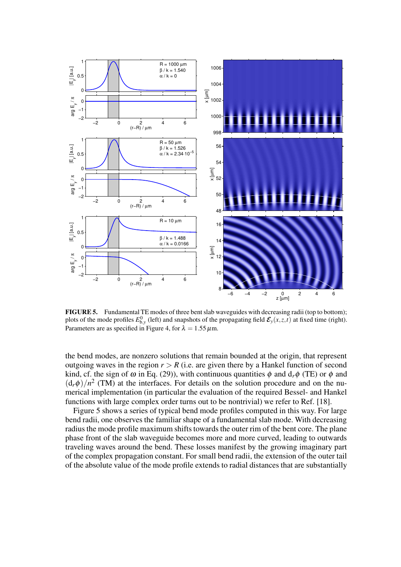

**FIGURE 5.** Fundamental TE modes of three bent slab waveguides with decreasing radii (top to bottom); plots of the mode profiles  $E_{b,y}^0$  (left) and snapshots of the propagating field  $\mathcal{E}_y(x,z,t)$  at fixed time (right). Parameters are as specified in Figure 4, for  $\lambda = 1.55 \,\mu \text{m}$ .

the bend modes, are nonzero solutions that remain bounded at the origin, that represent outgoing waves in the region  $r > R$  (i.e. are given there by a Hankel function of second kind, cf. the sign of  $\omega$  in Eq. (29)), with continuous quantities  $\phi$  and  $d_r\phi$  (TE) or  $\phi$  and  $(d_r \phi)/n^2$  (TM) at the interfaces. For details on the solution procedure and on the numerical implementation (in particular the evaluation of the required Bessel- and Hankel functions with large complex order turns out to be nontrivial) we refer to Ref. [18].

Figure 5 shows a series of typical bend mode profiles computed in this way. For large bend radii, one observes the familiar shape of a fundamental slab mode. With decreasing radius the mode profile maximum shifts towards the outer rim of the bent core. The plane phase front of the slab waveguide becomes more and more curved, leading to outwards traveling waves around the bend. These losses manifest by the growing imaginary part of the complex propagation constant. For small bend radii, the extension of the outer tail of the absolute value of the mode profile extends to radial distances that are substantially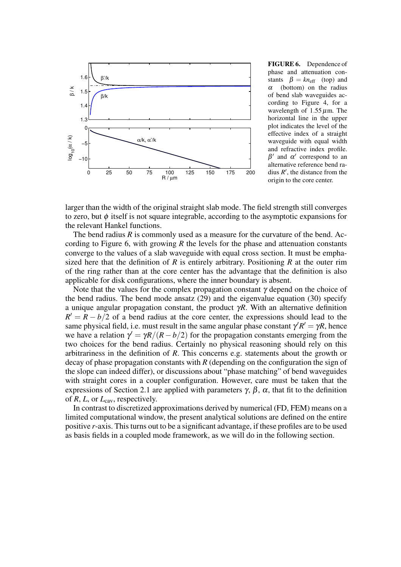

**FIGURE 6.** Dependence of phase and attenuation constants  $\beta = kn_{\text{eff}}$  (top) and  $\alpha$  (bottom) on the radius of bend slab waveguides according to Figure 4, for a wavelength of  $1.55 \,\mu$ m. The horizontal line in the upper plot indicates the level of the effective index of a straight waveguide with equal width and refractive index profile.  $\beta'$  and  $\alpha'$  correspond to an alternative reference bend radius  $R'$ , the distance from the origin to the core center.

larger than the width of the original straight slab mode. The field strength still converges to zero, but  $\phi$  itself is not square integrable, according to the asymptotic expansions for the relevant Hankel functions.

The bend radius *R* is commonly used as a measure for the curvature of the bend. According to Figure 6, with growing *R* the levels for the phase and attenuation constants converge to the values of a slab waveguide with equal cross section. It must be emphasized here that the definition of *R* is entirely arbitrary. Positioning *R* at the outer rim of the ring rather than at the core center has the advantage that the definition is also applicable for disk configurations, where the inner boundary is absent.

Note that the values for the complex propagation constant  $\gamma$  depend on the choice of the bend radius. The bend mode ansatz (29) and the eigenvalue equation (30) specify a unique angular propagation constant, the product  $\gamma R$ . With an alternative definition  $R' = R - b/2$  of a bend radius at the core center, the expressions should lead to the same physical field, i.e. must result in the same angular phase constant  $\gamma' R' = \gamma R$ , hence we have a relation  $\gamma' = \gamma R/(R - b/2)$  for the propagation constants emerging from the two choices for the bend radius. Certainly no physical reasoning should rely on this arbitrariness in the definition of *R*. This concerns e.g. statements about the growth or decay of phase propagation constants with *R* (depending on the configuration the sign of the slope can indeed differ), or discussions about "phase matching" of bend waveguides with straight cores in a coupler configuration. However, care must be taken that the expressions of Section 2.1 are applied with parameters  $\gamma$ ,  $\beta$ ,  $\alpha$ , that fit to the definition of *R*, *L*, or *L*cav, respectively.

In contrast to discretized approximations derived by numerical (FD, FEM) means on a limited computational window, the present analytical solutions are defined on the entire positive *r*-axis. Thisturns out to be a significant advantage, if these profiles are to be used as basis fields in a coupled mode framework, as we will do in the following section.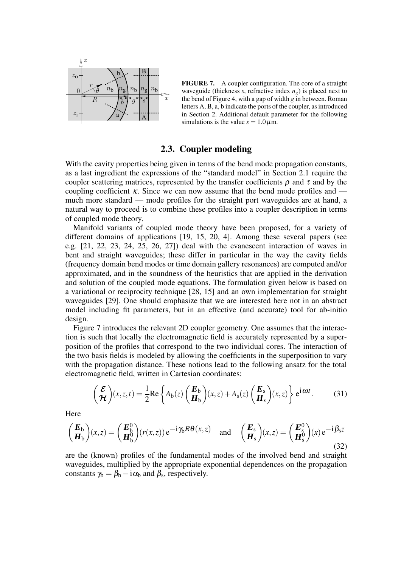

**FIGURE 7.** A coupler configuration. The core of a straight waveguide (thickness *s*, refractive index *n*g) is placed next to the bend of Figure 4, with a gap of width *g* in between. Roman letters A, B, a, b indicate the ports of the coupler, as introduced in Section 2. Additional default parameter for the following simulations is the value  $s = 1.0 \,\mu$ m.

# **2.3. Coupler modeling**

With the cavity properties being given in terms of the bend mode propagation constants, as a last ingredient the expressions of the "standard model" in Section 2.1 require the coupler scattering matrices, represented by the transfer coefficients  $\rho$  and  $\tau$  and by the coupling coefficient  $\kappa$ . Since we can now assume that the bend mode profiles and much more standard — mode profiles for the straight port waveguides are at hand, a natural way to proceed is to combine these profiles into a coupler description in terms of coupled mode theory.

Manifold variants of coupled mode theory have been proposed, for a variety of different domains of applications [19, 15, 20, 4]. Among these several papers (see e.g. [21, 22, 23, 24, 25, 26, 27]) deal with the evanescent interaction of waves in bent and straight waveguides; these differ in particular in the way the cavity fields (frequency domain bend modes or time domain gallery resonances) are computed and/or approximated, and in the soundness of the heuristics that are applied in the derivation and solution of the coupled mode equations. The formulation given below is based on a variational or reciprocity technique [28, 15] and an own implementation for straight waveguides [29]. One should emphasize that we are interested here not in an abstract model including fit parameters, but in an effective (and accurate) tool for ab-initio design.

Figure 7 introduces the relevant 2D coupler geometry. One assumes that the interaction is such that locally the electromagnetic field is accurately represented by a superposition of the profiles that correspond to the two individual cores. The interaction of the two basis fields is modeled by allowing the coefficients in the superposition to vary with the propagation distance. These notions lead to the following ansatz for the total electromagnetic field, written in Cartesian coordinates:

$$
\left(\frac{\mathcal{E}}{\mathcal{H}}\right)(x,z,t) = \frac{1}{2}\text{Re}\left\{A_b(z)\left(\frac{E_b}{H_b}\right)(x,z) + A_s(z)\left(\frac{E_s}{H_s}\right)(x,z)\right\}e^{i\omega t}.\tag{31}
$$

Here

$$
\begin{pmatrix} \mathbf{E}_{\mathbf{b}} \\ \mathbf{H}_{\mathbf{b}} \end{pmatrix} (x, z) = \begin{pmatrix} \mathbf{E}_{\mathbf{b}}^{0} \\ \mathbf{H}_{\mathbf{b}}^{0} \end{pmatrix} (r(x, z)) e^{-i\gamma_{\mathbf{b}} R \theta(x, z)} \text{ and } \begin{pmatrix} \mathbf{E}_{\mathbf{s}} \\ \mathbf{H}_{\mathbf{s}} \end{pmatrix} (x, z) = \begin{pmatrix} \mathbf{E}_{\mathbf{s}}^{0} \\ \mathbf{H}_{\mathbf{s}}^{0} \end{pmatrix} (x) e^{-i\beta_{\mathbf{s}} z}
$$
\n(32)

are the (known) profiles of the fundamental modes of the involved bend and straight waveguides, multiplied by the appropriate exponential dependences on the propagation constants  $\gamma_b = \beta_b - i \alpha_b$  and  $\beta_s$ , respectively.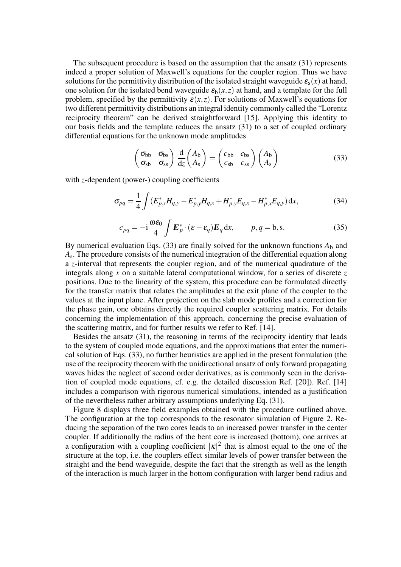The subsequent procedure is based on the assumption that the ansatz (31) represents indeed a proper solution of Maxwell's equations for the coupler region. Thus we have solutions for the permittivity distribution of the isolated straight waveguide  $\varepsilon_s(x)$  at hand, one solution for the isolated bend waveguide  $\varepsilon_b(x, z)$  at hand, and a template for the full problem, specified by the permittivity  $\varepsilon(x, z)$ . For solutions of Maxwell's equations for two different permittivity distributions an integral identity commonly called the "Lorentz reciprocity theorem" can be derived straightforward [15]. Applying this identity to our basis fields and the template reduces the ansatz (31) to a set of coupled ordinary differential equations for the unknown mode amplitudes

$$
\begin{pmatrix} \sigma_{bb} & \sigma_{bs} \\ \sigma_{sb} & \sigma_{ss} \end{pmatrix} \frac{d}{dz} \begin{pmatrix} A_b \\ A_s \end{pmatrix} = \begin{pmatrix} c_{bb} & c_{bs} \\ c_{sb} & c_{ss} \end{pmatrix} \begin{pmatrix} A_b \\ A_s \end{pmatrix}
$$
(33)

with *z*-dependent (power-) coupling coefficients

$$
\sigma_{pq} = \frac{1}{4} \int (E_{p,x}^* H_{q,y} - E_{p,y}^* H_{q,x} + H_{p,y}^* E_{q,x} - H_{p,x}^* E_{q,y}) dx, \tag{34}
$$

$$
c_{pq} = -\mathrm{i}\frac{\omega \varepsilon_0}{4} \int \mathbf{E}_p^* \cdot (\varepsilon - \varepsilon_q) \mathbf{E}_q \, \mathrm{d}x, \qquad p, q = \mathrm{b}, \mathrm{s}. \tag{35}
$$

By numerical evaluation Eqs. (33) are finally solved for the unknown functions  $A<sub>b</sub>$  and *A*s . The procedure consists of the numerical integration of the differential equation along a *z*-interval that represents the coupler region, and of the numerical quadrature of the integrals along *x* on a suitable lateral computational window, for a series of discrete *z* positions. Due to the linearity of the system, this procedure can be formulated directly for the transfer matrix that relates the amplitudes at the exit plane of the coupler to the values at the input plane. After projection on the slab mode profiles and a correction for the phase gain, one obtains directly the required coupler scattering matrix. For details concerning the implementation of this approach, concerning the precise evaluation of the scattering matrix, and for further results we refer to Ref. [14].

Besides the ansatz (31), the reasoning in terms of the reciprocity identity that leads to the system of coupled mode equations, and the approximations that enter the numerical solution of Eqs. (33), no further heuristics are applied in the present formulation (the use of the reciprocity theorem with the unidirectional ansatz of only forward propagating waves hides the neglect of second order derivatives, as is commonly seen in the derivation of coupled mode equations, cf. e.g. the detailed discussion Ref. [20]). Ref. [14] includes a comparison with rigorous numerical simulations, intended as a justification of the nevertheless rather arbitrary assumptions underlying Eq. (31).

Figure 8 displays three field examples obtained with the procedure outlined above. The configuration at the top corresponds to the resonator simulation of Figure 2. Reducing the separation of the two cores leads to an increased power transfer in the center coupler. If additionally the radius of the bent core is increased (bottom), one arrives at a configuration with a coupling coefficient  $|\kappa|^2$  that is almost equal to the one of the structure at the top, i.e. the couplers effect similar levels of power transfer between the straight and the bend waveguide, despite the fact that the strength as well as the length of the interaction is much larger in the bottom configuration with larger bend radius and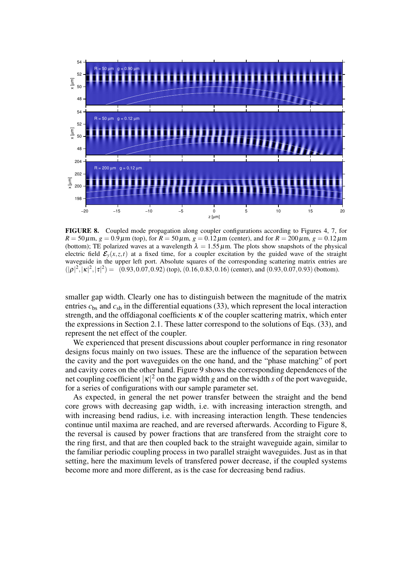

**FIGURE 8.** Coupled mode propagation along coupler configurations according to Figures 4, 7, for  $R = 50 \,\mu \text{m}$ ,  $g = 0.9 \,\mu \text{m}$  (top), for  $R = 50 \,\mu \text{m}$ ,  $g = 0.12 \,\mu \text{m}$  (center), and for  $R = 200 \,\mu \text{m}$ ,  $g = 0.12 \,\mu \text{m}$ (bottom); TE polarized waves at a wavelength  $\lambda = 1.55 \,\mu\text{m}$ . The plots show snapshots of the physical electric field  $\mathcal{E}_y(x, z, t)$  at a fixed time, for a coupler excitation by the guided wave of the straight waveguide in the upper left port. Absolute squares of the corresponding scattering matrix entries are  $(|\rho|^2, |\kappa|^2, |\tau|^2) = (0.93, 0.07, 0.92)$  (top),  $(0.16, 0.83, 0.16)$  (center), and  $(0.93, 0.07, 0.93)$  (bottom).

smaller gap width. Clearly one has to distinguish between the magnitude of the matrix entries  $c_{bs}$  and  $c_{sb}$  in the differential equations (33), which represent the local interaction strength, and the offdiagonal coefficients  $\kappa$  of the coupler scattering matrix, which enter the expressions in Section 2.1. These latter correspond to the solutions of Eqs. (33), and represent the net effect of the coupler.

We experienced that present discussions about coupler performance in ring resonator designs focus mainly on two issues. These are the influence of the separation between the cavity and the port waveguides on the one hand, and the "phase matching" of port and cavity cores on the other hand. Figure 9 showsthe corresponding dependences of the net coupling coefficient  $|\kappa|^2$  on the gap width *g* and on the width *s* of the port waveguide, for a series of configurations with our sample parameter set.

As expected, in general the net power transfer between the straight and the bend core grows with decreasing gap width, i.e. with increasing interaction strength, and with increasing bend radius, i.e. with increasing interaction length. These tendencies continue until maxima are reached, and are reversed afterwards. According to Figure 8, the reversal is caused by power fractions that are transfered from the straight core to the ring first, and that are then coupled back to the straight waveguide again, similar to the familiar periodic coupling process in two parallel straight waveguides. Just as in that setting, here the maximum levels of transfered power decrease, if the coupled systems become more and more different, as is the case for decreasing bend radius.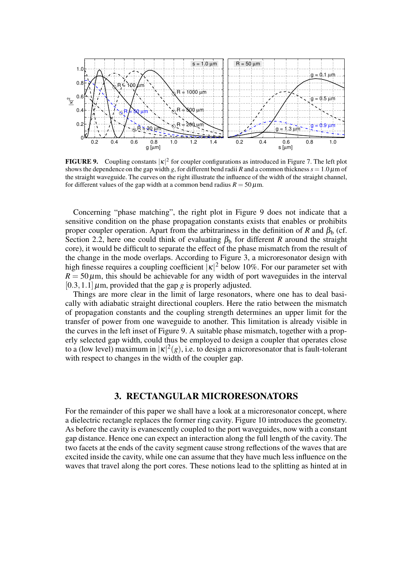

**FIGURE 9.** Coupling constants  $|\kappa|^2$  for coupler configurations as introduced in Figure 7. The left plot shows the dependence on the gap width *g*, for different bend radii *R* and a common thickness  $s = 1.0 \,\mu$ m of the straight waveguide. The curves on the right illustrate the influence of the width of the straight channel, for different values of the gap width at a common bend radius  $R = 50 \,\mu\text{m}$ .

Concerning "phase matching", the right plot in Figure 9 does not indicate that a sensitive condition on the phase propagation constants exists that enables or prohibits proper coupler operation. Apart from the arbitrariness in the definition of *R* and  $\beta_{b}$  (cf. Section 2.2, here one could think of evaluating  $\beta_b$  for different *R* around the straight core), it would be difficult to separate the effect of the phase mismatch from the result of the change in the mode overlaps. According to Figure 3, a microresonator design with high finesse requires a coupling coefficient  $|\kappa|^2$  below 10%. For our parameter set with  $R = 50 \,\mu$ m, this should be achievable for any width of port waveguides in the interval  $[0.3, 1.1]$   $\mu$ m, provided that the gap *g* is properly adjusted.

Things are more clear in the limit of large resonators, where one has to deal basically with adiabatic straight directional couplers. Here the ratio between the mismatch of propagation constants and the coupling strength determines an upper limit for the transfer of power from one waveguide to another. This limitation is already visible in the curves in the left inset of Figure 9. A suitable phase mismatch, together with a properly selected gap width, could thus be employed to design a coupler that operates close to a (low level) maximum in  $|\kappa|^2(g)$ , i.e. to design a microresonator that is fault-tolerant with respect to changes in the width of the coupler gap.

# **3. RECTANGULAR MICRORESONATORS**

For the remainder of this paper we shall have a look at a microresonator concept, where a dielectric rectangle replaces the former ring cavity. Figure 10 introduces the geometry. As before the cavity is evanescently coupled to the port waveguides, now with a constant gap distance. Hence one can expect an interaction along the full length of the cavity. The two facets at the ends of the cavity segment cause strong reflections of the waves that are excited inside the cavity, while one can assume that they have much less influence on the waves that travel along the port cores. These notions lead to the splitting as hinted at in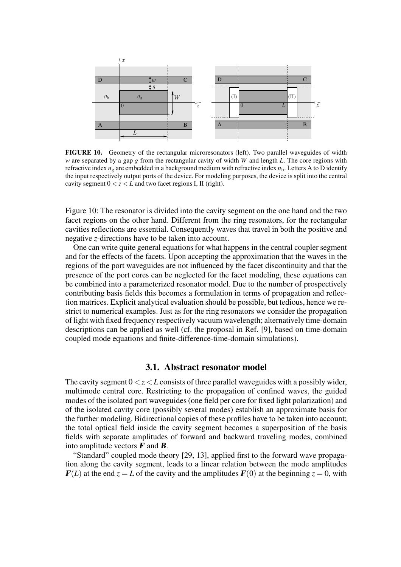

**FIGURE 10.** Geometry of the rectangular microresonators (left). Two parallel waveguides of width *w* are separated by a gap *g* from the rectangular cavity of width *W* and length *L*. The core regions with refractive index  $n_g$  are embedded in a background medium with refractive index  $n_b$ . Letters A to D identify the input respectively output ports of the device. For modeling purposes, the device is split into the central cavity segment  $0 < z < L$  and two facet regions I, II (right).

Figure 10: The resonator is divided into the cavity segment on the one hand and the two facet regions on the other hand. Different from the ring resonators, for the rectangular cavities reflections are essential. Consequently waves that travel in both the positive and negative *z*-directions have to be taken into account.

One can write quite general equations for what happens in the central coupler segment and for the effects of the facets. Upon accepting the approximation that the waves in the regions of the port waveguides are not influenced by the facet discontinuity and that the presence of the port cores can be neglected for the facet modeling, these equations can be combined into a parameterized resonator model. Due to the number of prospectively contributing basis fields this becomes a formulation in terms of propagation and reflection matrices. Explicit analytical evaluation should be possible, but tedious, hence we restrict to numerical examples. Just as for the ring resonators we consider the propagation of light with fixed frequency respectively vacuum wavelength; alternatively time-domain descriptions can be applied as well (cf. the proposal in Ref. [9], based on time-domain coupled mode equations and finite-difference-time-domain simulations).

# **3.1. Abstract resonator model**

The cavity segment  $0 < z < L$  consists of three parallel waveguides with a possibly wider, multimode central core. Restricting to the propagation of confined waves, the guided modes of the isolated port waveguides (one field per core for fixed light polarization) and of the isolated cavity core (possibly several modes) establish an approximate basis for the further modeling. Bidirectional copies of these profiles have to be taken into account; the total optical field inside the cavity segment becomes a superposition of the basis fields with separate amplitudes of forward and backward traveling modes, combined into amplitude vectors  $\mathbf{F}$  and  $\mathbf{B}$ .

"Standard" coupled mode theory [29, 13], applied first to the forward wave propagation along the cavity segment, leads to a linear relation between the mode amplitudes  **at the end**  $z = L$  **of the cavity and the amplitudes**  $**F**(0)$  **at the beginning**  $z = 0$ **, with**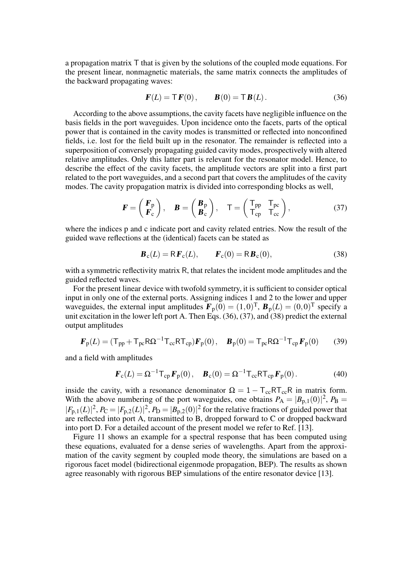a propagation matrix T that is given by the solutions of the coupled mode equations. For the present linear, nonmagnetic materials, the same matrix connects the amplitudes of the backward propagating waves:

$$
\mathbf{F}(L) = \mathbf{T}\mathbf{F}(0), \qquad \mathbf{B}(0) = \mathbf{T}\mathbf{B}(L). \tag{36}
$$

According to the above assumptions, the cavity facets have negligible influence on the basis fields in the port waveguides. Upon incidence onto the facets, parts of the optical power that is contained in the cavity modes is transmitted or reflected into nonconfined fields, i.e. lost for the field built up in the resonator. The remainder is reflected into a superposition of conversely propagating guided cavity modes, prospectively with altered relative amplitudes. Only this latter part is relevant for the resonator model. Hence, to describe the effect of the cavity facets, the amplitude vectors are split into a first part related to the port waveguides, and a second part that covers the amplitudes of the cavity modes. The cavity propagation matrix is divided into corresponding blocks as well,

$$
\boldsymbol{F} = \begin{pmatrix} \boldsymbol{F}_{\mathrm{p}} \\ \boldsymbol{F}_{\mathrm{c}} \end{pmatrix}, \quad \boldsymbol{B} = \begin{pmatrix} \boldsymbol{B}_{\mathrm{p}} \\ \boldsymbol{B}_{\mathrm{c}} \end{pmatrix}, \quad \boldsymbol{\mathsf{T}} = \begin{pmatrix} \mathsf{T}_{\mathrm{pp}} & \mathsf{T}_{\mathrm{pc}} \\ \mathsf{T}_{\mathrm{cp}} & \mathsf{T}_{\mathrm{cc}} \end{pmatrix}, \tag{37}
$$

where the indices p and c indicate port and cavity related entries. Now the result of the guided wave reflections at the (identical) facets can be stated as

$$
\boldsymbol{B}_{\rm c}(L) = \mathsf{R}\boldsymbol{F}_{\rm c}(L), \qquad \boldsymbol{F}_{\rm c}(0) = \mathsf{R}\boldsymbol{B}_{\rm c}(0), \tag{38}
$$

with a symmetric reflectivity matrix R, that relates the incident mode amplitudes and the guided reflected waves.

For the present linear device with twofold symmetry, it is sufficient to consider optical input in only one of the external ports. Assigning indices 1 and 2 to the lower and upper waveguides, the external input amplitudes  $\mathbf{F}_p(0) = (1,0)^T$ ,  $\mathbf{B}_p(L) = (0,0)^T$  specify a unit excitation in the lower left port A. Then Eqs.  $(36)$ ,  $(37)$ , and  $(38)$  predict the external output amplitudes

$$
\boldsymbol{F}_{\rm p}(L) = (\mathsf{T}_{\rm pp} + \mathsf{T}_{\rm pc} \mathsf{R} \Omega^{-1} \mathsf{T}_{\rm cc} \mathsf{R} \mathsf{T}_{\rm cp}) \boldsymbol{F}_{\rm p}(0), \quad \boldsymbol{B}_{\rm p}(0) = \mathsf{T}_{\rm pc} \mathsf{R} \Omega^{-1} \mathsf{T}_{\rm cp} \boldsymbol{F}_{\rm p}(0) \tag{39}
$$

and a field with amplitudes

$$
\boldsymbol{F}_{\rm c}(L) = \Omega^{-1} \mathsf{T}_{\rm cp} \boldsymbol{F}_{\rm p}(0), \quad \boldsymbol{B}_{\rm c}(0) = \Omega^{-1} \mathsf{T}_{\rm cc} \mathsf{RT}_{\rm cp} \boldsymbol{F}_{\rm p}(0). \tag{40}
$$

inside the cavity, with a resonance denominator  $\Omega = 1 - T_{cc}RT_{cc}R$  in matrix form. With the above numbering of the port waveguides, one obtains  $P_A = |B_{p,1}(0)|^2$ ,  $P_B =$  $|F_{p,1}(L)|^2$ ,  $P_C = |F_{p,2}(L)|^2$ ,  $P_D = |B_{p,2}(0)|^2$  for the relative fractions of guided power that are reflected into port A, transmitted to B, dropped forward to C or dropped backward into port D. For a detailed account of the present model we refer to Ref. [13].

Figure 11 shows an example for a spectral response that has been computed using these equations, evaluated for a dense series of wavelengths. Apart from the approximation of the cavity segment by coupled mode theory, the simulations are based on a rigorous facet model (bidirectional eigenmode propagation, BEP). The results as shown agree reasonably with rigorous BEP simulations of the entire resonator device [13].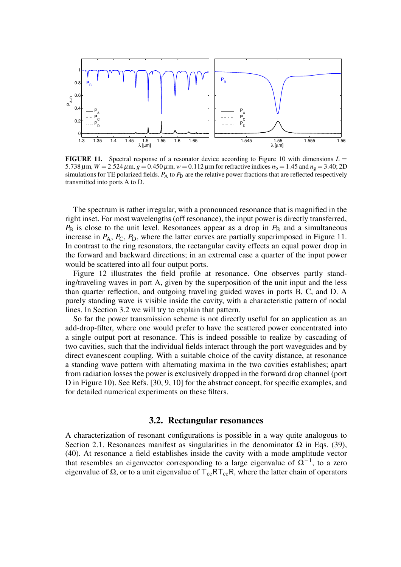

**FIGURE 11.** Spectral response of a resonator device according to Figure 10 with dimensions  $L =$ 5.738  $\mu$ m,  $W = 2.524 \mu$ m,  $g = 0.450 \mu$ m,  $w = 0.112 \mu$ m for refractive indices  $n_b = 1.45$  and  $n_g = 3.40$ ; 2D simulations for TE polarized fields.  $P_A$  to  $P_D$  are the relative power fractions that are reflected respectively transmitted into ports A to D.

The spectrum is rather irregular, with a pronounced resonance that is magnified in the right inset. For most wavelengths (off resonance), the input power is directly transferred,  $P_B$  is close to the unit level. Resonances appear as a drop in  $P_B$  and a simultaneous increase in  $P_A$ ,  $P_C$ ,  $P_D$ , where the latter curves are partially superimposed in Figure 11. In contrast to the ring resonators, the rectangular cavity effects an equal power drop in the forward and backward directions; in an extremal case a quarter of the input power would be scattered into all four output ports.

Figure 12 illustrates the field profile at resonance. One observes partly standing/traveling waves in port A, given by the superposition of the unit input and the less than quarter reflection, and outgoing traveling guided waves in ports B, C, and D. A purely standing wave is visible inside the cavity, with a characteristic pattern of nodal lines. In Section 3.2 we will try to explain that pattern.

So far the power transmission scheme is not directly useful for an application as an add-drop-filter, where one would prefer to have the scattered power concentrated into a single output port at resonance. This is indeed possible to realize by cascading of two cavities, such that the individual fields interact through the port waveguides and by direct evanescent coupling. With a suitable choice of the cavity distance, at resonance a standing wave pattern with alternating maxima in the two cavities establishes; apart from radiation losses the power is exclusively dropped in the forward drop channel (port D in Figure 10). See Refs. [30, 9, 10] for the abstract concept, for specific examples, and for detailed numerical experiments on these filters.

## **3.2. Rectangular resonances**

A characterization of resonant configurations is possible in a way quite analogous to Section 2.1. Resonances manifest as singularities in the denominator  $\Omega$  in Eqs. (39), (40). At resonance a field establishes inside the cavity with a mode amplitude vector that resembles an eigenvector corresponding to a large eigenvalue of  $\Omega^{-1}$ , to a zero eigenvalue of Ω, or to a unit eigenvalue of  $T_{cc}RT_{cc}R$ , where the latter chain of operators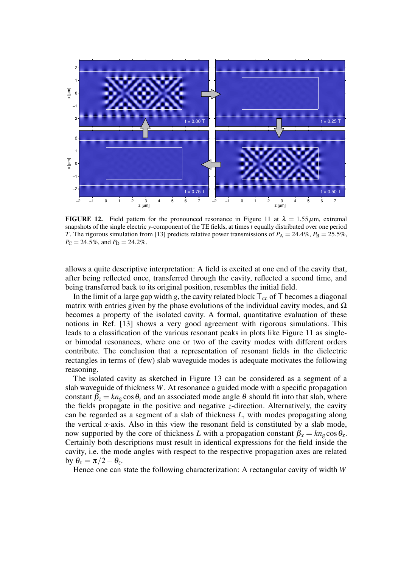

**FIGURE 12.** Field pattern for the pronounced resonance in Figure 11 at  $\lambda = 1.55 \,\mu \text{m}$ , extremal snapshots of the single electric *y*-component of the TE fields, at times *t* equally distributed over one period *T*. The rigorous simulation from [13] predicts relative power transmissions of  $P_A = 24.4\%$ ,  $P_B = 25.5\%$ ,  $P_{\rm C} = 24.5\%$ , and  $P_{\rm D} = 24.2\%$ .

allows a quite descriptive interpretation: A field is excited at one end of the cavity that, after being reflected once, transferred through the cavity, reflected a second time, and being transferred back to its original position, resembles the initial field.

In the limit of a large gap width *g*, the cavity related block  $T_{cc}$  of T becomes a diagonal matrix with entries given by the phase evolutions of the individual cavity modes, and  $\Omega$ becomes a property of the isolated cavity. A formal, quantitative evaluation of these notions in Ref. [13] shows a very good agreement with rigorous simulations. This leads to a classification of the various resonant peaks in plots like Figure 11 as singleor bimodal resonances, where one or two of the cavity modes with different orders contribute. The conclusion that a representation of resonant fields in the dielectric rectangles in terms of (few) slab waveguide modes is adequate motivates the following reasoning.

The isolated cavity as sketched in Figure 13 can be considered as a segment of a slab waveguide of thickness *W*. At resonance a guided mode with a specific propagation constant  $\beta_z = kn_g \cos \theta_z$  and an associated mode angle  $\theta$  should fit into that slab, where the fields propagate in the positive and negative *z*-direction. Alternatively, the cavity can be regarded as a segment of a slab of thickness *L*, with modes propagating along the vertical *x*-axis. Also in this view the resonant field is constituted by a slab mode, now supported by the core of thickness *L* with a propagation constant  $\beta_x = kn_g \cos \theta_x$ . Certainly both descriptions must result in identical expressions for the field inside the cavity, i.e. the mode angles with respect to the respective propagation axes are related by  $\theta_x = \pi/2 - \theta_z$ .

Hence one can state the following characterization: A rectangular cavity of width *W*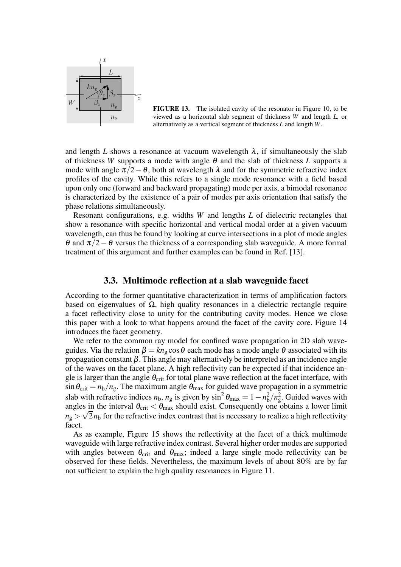

**FIGURE 13.** The isolated cavity of the resonator in Figure 10, to be viewed as a horizontal slab segment of thickness *W* and length *L*, or alternatively as a vertical segment of thickness *L* and length *W*.

and length *L* shows a resonance at vacuum wavelength  $\lambda$ , if simultaneously the slab of thickness *W* supports a mode with angle  $\theta$  and the slab of thickness *L* supports a mode with angle  $\pi/2-\theta$ , both at wavelength  $\lambda$  and for the symmetric refractive index profiles of the cavity. While this refers to a single mode resonance with a field based upon only one (forward and backward propagating) mode per axis, a bimodal resonance is characterized by the existence of a pair of modes per axis orientation that satisfy the phase relations simultaneously.

Resonant configurations, e.g. widths *W* and lengths *L* of dielectric rectangles that show a resonance with specific horizontal and vertical modal order at a given vacuum wavelength, can thus be found by looking at curve intersections in a plot of mode angles θ and  $π/2 − θ$  versus the thickness of a corresponding slab waveguide. A more formal treatment of this argument and further examples can be found in Ref. [13].

#### **3.3. Multimode reflection at a slab waveguide facet**

According to the former quantitative characterization in terms of amplification factors based on eigenvalues of  $Ω$ , high quality resonances in a dielectric rectangle require a facet reflectivity close to unity for the contributing cavity modes. Hence we close this paper with a look to what happens around the facet of the cavity core. Figure 14 introduces the facet geometry.

We refer to the common ray model for confined wave propagation in 2D slab waveguides. Via the relation  $\beta = kn_{\mathfrak{g}} \cos \theta$  each mode has a mode angle  $\theta$  associated with its propagation constant  $β$ . This angle may alternatively be interpreted as an incidence angle of the waves on the facet plane. A high reflectivity can be expected if that incidence angle is larger than the angle  $\theta_{\text{crit}}$  for total plane wave reflection at the facet interface, with  $\sin \theta_{\text{crit}} = n_b/n_g$ . The maximum angle  $\theta_{\text{max}}$  for guided wave propagation in a symmetric slab with refractive indices  $n_b$ ,  $n_g$  is given by  $\sin^2 \theta_{\text{max}} = 1 - n_b^2$  $\frac{2}{b}$ / $n_{\rm g}^2$ . Guided waves with angles in the interval  $\theta_{\rm crit} < \theta_{\rm max}$  should exist. Consequently one obtains a lower limit  $n_g > \sqrt{2}n_b$  for the refractive index contrast that is necessary to realize a high reflectivity facet.

As as example, Figure 15 shows the reflectivity at the facet of a thick multimode waveguide with large refractive index contrast. Several higher order modes are supported with angles between  $\theta_{\text{crit}}$  and  $\theta_{\text{max}}$ ; indeed a large single mode reflectivity can be observed for these fields. Nevertheless, the maximum levels of about 80% are by far not sufficient to explain the high quality resonances in Figure 11.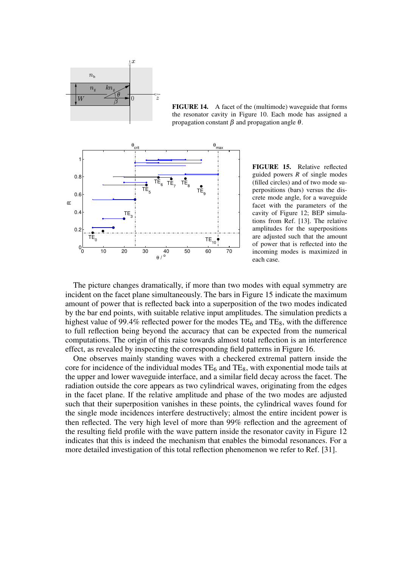

**FIGURE 14.** A facet of the (multimode) waveguide that forms the resonator cavity in Figure 10. Each mode has assigned a propagation constant β and propagation angle <sup>θ</sup>.



**FIGURE 15.** Relative reflected guided powers *R* of single modes (filled circles) and of two mode superpositions (bars) versus the discrete mode angle, for a waveguide facet with the parameters of the cavity of Figure 12; BEP simulations from Ref. [13]. The relative amplitudes for the superpositions are adjusted such that the amount of power that is reflected into the incoming modes is maximized in each case.

The picture changes dramatically, if more than two modes with equal symmetry are incident on the facet plane simultaneously. The bars in Figure 15 indicate the maximum amount of power that is reflected back into a superposition of the two modes indicated by the bar end points, with suitable relative input amplitudes. The simulation predicts a highest value of 99.4% reflected power for the modes  $TE_6$  and  $TE_8$ , with the difference to full reflection being beyond the accuracy that can be expected from the numerical computations. The origin of this raise towards almost total reflection is an interference effect, as revealed by inspecting the corresponding field patterns in Figure 16.

One observes mainly standing waves with a checkered extremal pattern inside the core for incidence of the individual modes  $TE_6$  and  $TE_8$ , with exponential mode tails at the upper and lower waveguide interface, and a similar field decay across the facet. The radiation outside the core appears as two cylindrical waves, originating from the edges in the facet plane. If the relative amplitude and phase of the two modes are adjusted such that their superposition vanishes in these points, the cylindrical waves found for the single mode incidences interfere destructively; almost the entire incident power is then reflected. The very high level of more than 99% reflection and the agreement of the resulting field profile with the wave pattern inside the resonator cavity in Figure 12 indicates that this is indeed the mechanism that enables the bimodal resonances. For a more detailed investigation of this total reflection phenomenon we refer to Ref. [31].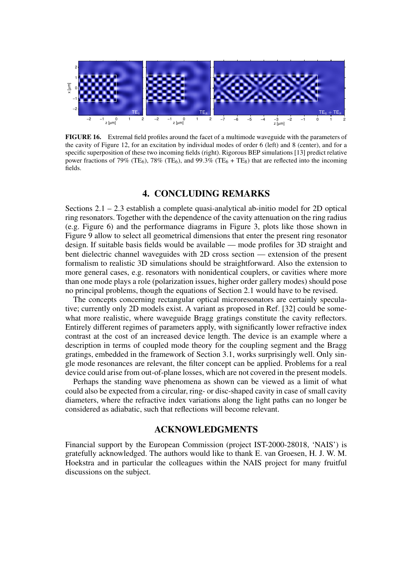

**FIGURE 16.** Extremal field profiles around the facet of a multimode waveguide with the parameters of the cavity of Figure 12, for an excitation by individual modes of order 6 (left) and 8 (center), and for a specific superposition of these two incoming fields (right). Rigorous BEP simulations [13] predict relative power fractions of 79% (TE<sub>6</sub>), 78% (TE<sub>6</sub>), and 99.3% (TE<sub>6</sub> + TE<sub>8</sub>) that are reflected into the incoming fields.

## **4. CONCLUDING REMARKS**

Sections 2.1 – 2.3 establish a complete quasi-analytical ab-initio model for 2D optical ring resonators. Together with the dependence of the cavity attenuation on the ring radius (e.g. Figure 6) and the performance diagrams in Figure 3, plots like those shown in Figure 9 allow to select all geometrical dimensions that enter the present ring resonator design. If suitable basis fields would be available — mode profiles for 3D straight and bent dielectric channel waveguides with 2D cross section — extension of the present formalism to realistic 3D simulations should be straightforward. Also the extension to more general cases, e.g. resonators with nonidentical couplers, or cavities where more than one mode plays a role (polarization issues, higher order gallery modes) should pose no principal problems, though the equations of Section 2.1 would have to be revised.

The concepts concerning rectangular optical microresonators are certainly speculative; currently only 2D models exist. A variant as proposed in Ref. [32] could be somewhat more realistic, where waveguide Bragg gratings constitute the cavity reflectors. Entirely different regimes of parameters apply, with significantly lower refractive index contrast at the cost of an increased device length. The device is an example where a description in terms of coupled mode theory for the coupling segment and the Bragg gratings, embedded in the framework of Section 3.1, works surprisingly well. Only single mode resonances are relevant, the filter concept can be applied. Problems for a real device could arise from out-of-plane losses, which are not covered in the present models.

Perhaps the standing wave phenomena as shown can be viewed as a limit of what could also be expected from a circular, ring- or disc-shaped cavity in case of small cavity diameters, where the refractive index variations along the light paths can no longer be considered as adiabatic, such that reflections will become relevant.

# **ACKNOWLEDGMENTS**

Financial support by the European Commission (project IST-2000-28018, 'NAIS') is gratefully acknowledged. The authors would like to thank E. van Groesen, H. J. W. M. Hoekstra and in particular the colleagues within the NAIS project for many fruitful discussions on the subject.